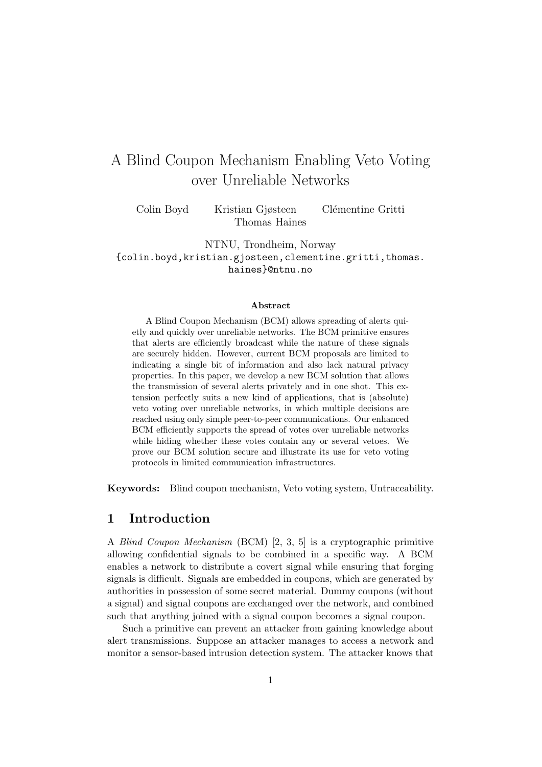# A Blind Coupon Mechanism Enabling Veto Voting over Unreliable Networks

Colin Boyd Kristian Gjøsteen Clémentine Gritti Thomas Haines

NTNU, Trondheim, Norway {colin.boyd,kristian.gjosteen,clementine.gritti,thomas. haines}@ntnu.no

#### Abstract

A Blind Coupon Mechanism (BCM) allows spreading of alerts quietly and quickly over unreliable networks. The BCM primitive ensures that alerts are efficiently broadcast while the nature of these signals are securely hidden. However, current BCM proposals are limited to indicating a single bit of information and also lack natural privacy properties. In this paper, we develop a new BCM solution that allows the transmission of several alerts privately and in one shot. This extension perfectly suits a new kind of applications, that is (absolute) veto voting over unreliable networks, in which multiple decisions are reached using only simple peer-to-peer communications. Our enhanced BCM efficiently supports the spread of votes over unreliable networks while hiding whether these votes contain any or several vetoes. We prove our BCM solution secure and illustrate its use for veto voting protocols in limited communication infrastructures.

Keywords: Blind coupon mechanism, Veto voting system, Untraceability.

# 1 Introduction

A Blind Coupon Mechanism (BCM) [2, 3, 5] is a cryptographic primitive allowing confidential signals to be combined in a specific way. A BCM enables a network to distribute a covert signal while ensuring that forging signals is difficult. Signals are embedded in coupons, which are generated by authorities in possession of some secret material. Dummy coupons (without a signal) and signal coupons are exchanged over the network, and combined such that anything joined with a signal coupon becomes a signal coupon.

Such a primitive can prevent an attacker from gaining knowledge about alert transmissions. Suppose an attacker manages to access a network and monitor a sensor-based intrusion detection system. The attacker knows that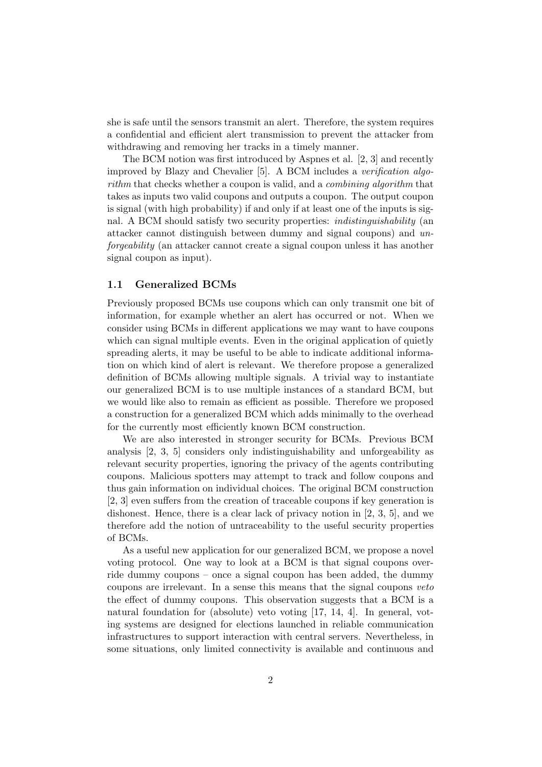she is safe until the sensors transmit an alert. Therefore, the system requires a confidential and efficient alert transmission to prevent the attacker from withdrawing and removing her tracks in a timely manner.

The BCM notion was first introduced by Aspnes et al. [2, 3] and recently improved by Blazy and Chevalier [5]. A BCM includes a verification algorithm that checks whether a coupon is valid, and a combining algorithm that takes as inputs two valid coupons and outputs a coupon. The output coupon is signal (with high probability) if and only if at least one of the inputs is signal. A BCM should satisfy two security properties: indistinguishability (an attacker cannot distinguish between dummy and signal coupons) and unforgeability (an attacker cannot create a signal coupon unless it has another signal coupon as input).

#### 1.1 Generalized BCMs

Previously proposed BCMs use coupons which can only transmit one bit of information, for example whether an alert has occurred or not. When we consider using BCMs in different applications we may want to have coupons which can signal multiple events. Even in the original application of quietly spreading alerts, it may be useful to be able to indicate additional information on which kind of alert is relevant. We therefore propose a generalized definition of BCMs allowing multiple signals. A trivial way to instantiate our generalized BCM is to use multiple instances of a standard BCM, but we would like also to remain as efficient as possible. Therefore we proposed a construction for a generalized BCM which adds minimally to the overhead for the currently most efficiently known BCM construction.

We are also interested in stronger security for BCMs. Previous BCM analysis [2, 3, 5] considers only indistinguishability and unforgeability as relevant security properties, ignoring the privacy of the agents contributing coupons. Malicious spotters may attempt to track and follow coupons and thus gain information on individual choices. The original BCM construction [2, 3] even suffers from the creation of traceable coupons if key generation is dishonest. Hence, there is a clear lack of privacy notion in [2, 3, 5], and we therefore add the notion of untraceability to the useful security properties of BCMs.

As a useful new application for our generalized BCM, we propose a novel voting protocol. One way to look at a BCM is that signal coupons override dummy coupons – once a signal coupon has been added, the dummy coupons are irrelevant. In a sense this means that the signal coupons veto the effect of dummy coupons. This observation suggests that a BCM is a natural foundation for (absolute) veto voting [17, 14, 4]. In general, voting systems are designed for elections launched in reliable communication infrastructures to support interaction with central servers. Nevertheless, in some situations, only limited connectivity is available and continuous and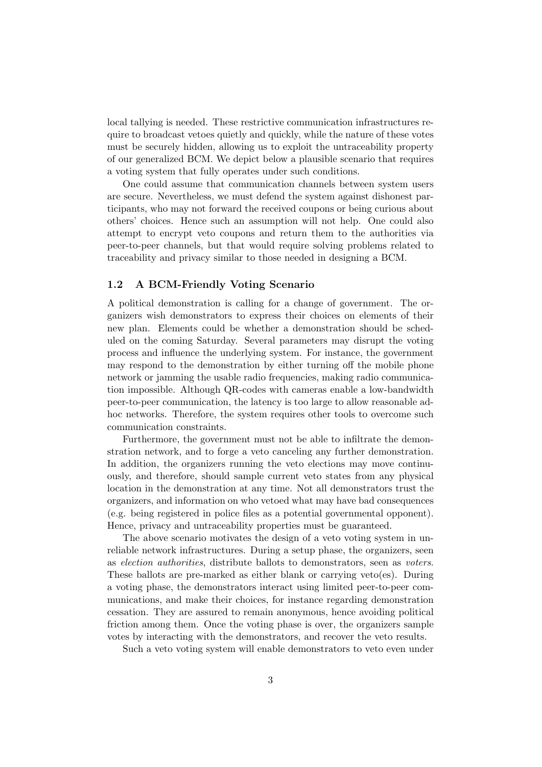local tallying is needed. These restrictive communication infrastructures require to broadcast vetoes quietly and quickly, while the nature of these votes must be securely hidden, allowing us to exploit the untraceability property of our generalized BCM. We depict below a plausible scenario that requires a voting system that fully operates under such conditions.

One could assume that communication channels between system users are secure. Nevertheless, we must defend the system against dishonest participants, who may not forward the received coupons or being curious about others' choices. Hence such an assumption will not help. One could also attempt to encrypt veto coupons and return them to the authorities via peer-to-peer channels, but that would require solving problems related to traceability and privacy similar to those needed in designing a BCM.

## 1.2 A BCM-Friendly Voting Scenario

A political demonstration is calling for a change of government. The organizers wish demonstrators to express their choices on elements of their new plan. Elements could be whether a demonstration should be scheduled on the coming Saturday. Several parameters may disrupt the voting process and influence the underlying system. For instance, the government may respond to the demonstration by either turning off the mobile phone network or jamming the usable radio frequencies, making radio communication impossible. Although QR-codes with cameras enable a low-bandwidth peer-to-peer communication, the latency is too large to allow reasonable adhoc networks. Therefore, the system requires other tools to overcome such communication constraints.

Furthermore, the government must not be able to infiltrate the demonstration network, and to forge a veto canceling any further demonstration. In addition, the organizers running the veto elections may move continuously, and therefore, should sample current veto states from any physical location in the demonstration at any time. Not all demonstrators trust the organizers, and information on who vetoed what may have bad consequences (e.g. being registered in police files as a potential governmental opponent). Hence, privacy and untraceability properties must be guaranteed.

The above scenario motivates the design of a veto voting system in unreliable network infrastructures. During a setup phase, the organizers, seen as election authorities, distribute ballots to demonstrators, seen as voters. These ballots are pre-marked as either blank or carrying veto(es). During a voting phase, the demonstrators interact using limited peer-to-peer communications, and make their choices, for instance regarding demonstration cessation. They are assured to remain anonymous, hence avoiding political friction among them. Once the voting phase is over, the organizers sample votes by interacting with the demonstrators, and recover the veto results.

Such a veto voting system will enable demonstrators to veto even under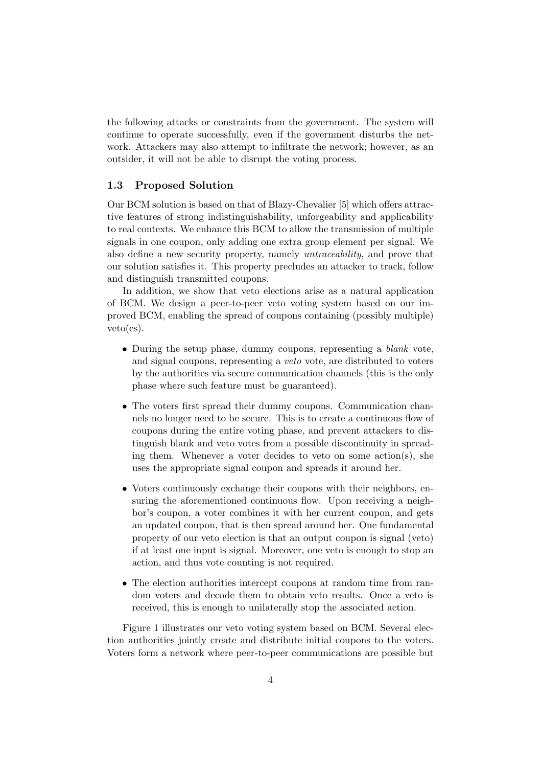the following attacks or constraints from the government. The system will continue to operate successfully, even if the government disturbs the network. Attackers may also attempt to infiltrate the network; however, as an outsider, it will not be able to disrupt the voting process.

## 1.3 Proposed Solution

Our BCM solution is based on that of Blazy-Chevalier [5] which offers attractive features of strong indistinguishability, unforgeability and applicability to real contexts. We enhance this BCM to allow the transmission of multiple signals in one coupon, only adding one extra group element per signal. We also define a new security property, namely untraceability, and prove that our solution satisfies it. This property precludes an attacker to track, follow and distinguish transmitted coupons.

In addition, we show that veto elections arise as a natural application of BCM. We design a peer-to-peer veto voting system based on our improved BCM, enabling the spread of coupons containing (possibly multiple) veto(es).

- During the setup phase, dummy coupons, representing a *blank* vote, and signal coupons, representing a veto vote, are distributed to voters by the authorities via secure communication channels (this is the only phase where such feature must be guaranteed).
- The voters first spread their dummy coupons. Communication channels no longer need to be secure. This is to create a continuous flow of coupons during the entire voting phase, and prevent attackers to distinguish blank and veto votes from a possible discontinuity in spreading them. Whenever a voter decides to veto on some action(s), she uses the appropriate signal coupon and spreads it around her.
- Voters continuously exchange their coupons with their neighbors, ensuring the aforementioned continuous flow. Upon receiving a neighbor's coupon, a voter combines it with her current coupon, and gets an updated coupon, that is then spread around her. One fundamental property of our veto election is that an output coupon is signal (veto) if at least one input is signal. Moreover, one veto is enough to stop an action, and thus vote counting is not required.
- The election authorities intercept coupons at random time from random voters and decode them to obtain veto results. Once a veto is received, this is enough to unilaterally stop the associated action.

Figure 1 illustrates our veto voting system based on BCM. Several election authorities jointly create and distribute initial coupons to the voters. Voters form a network where peer-to-peer communications are possible but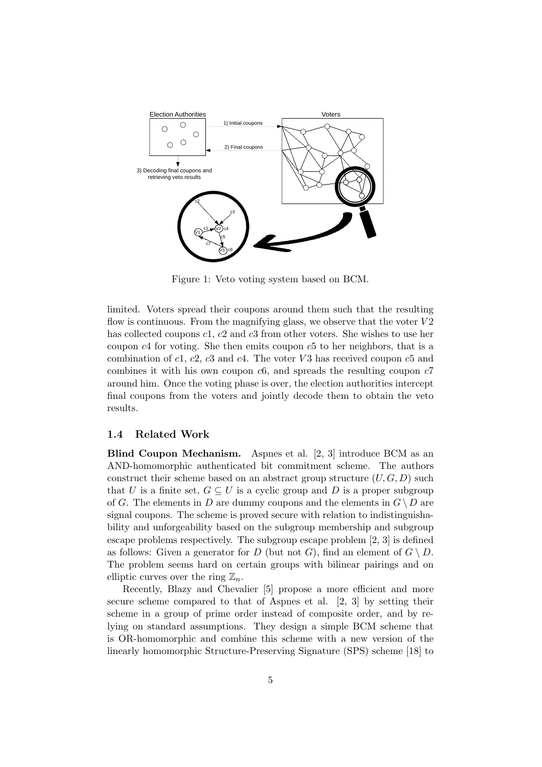

Figure 1: Veto voting system based on BCM.

limited. Voters spread their coupons around them such that the resulting flow is continuous. From the magnifying glass, we observe that the voter  $V2$ has collected coupons c1, c2 and c3 from other voters. She wishes to use her coupon c4 for voting. She then emits coupon c5 to her neighbors, that is a combination of  $c1$ ,  $c2$ ,  $c3$  and  $c4$ . The voter V3 has received coupon  $c5$  and combines it with his own coupon  $c6$ , and spreads the resulting coupon  $c7$ around him. Once the voting phase is over, the election authorities intercept final coupons from the voters and jointly decode them to obtain the veto results.

#### 1.4 Related Work

Blind Coupon Mechanism. Aspnes et al. [2, 3] introduce BCM as an AND-homomorphic authenticated bit commitment scheme. The authors construct their scheme based on an abstract group structure  $(U, G, D)$  such that U is a finite set,  $G \subseteq U$  is a cyclic group and D is a proper subgroup of G. The elements in D are dummy coupons and the elements in  $G \setminus D$  are signal coupons. The scheme is proved secure with relation to indistinguishability and unforgeability based on the subgroup membership and subgroup escape problems respectively. The subgroup escape problem [2, 3] is defined as follows: Given a generator for D (but not G), find an element of  $G \setminus D$ . The problem seems hard on certain groups with bilinear pairings and on elliptic curves over the ring  $\mathbb{Z}_n$ .

Recently, Blazy and Chevalier [5] propose a more efficient and more secure scheme compared to that of Aspnes et al. [2, 3] by setting their scheme in a group of prime order instead of composite order, and by relying on standard assumptions. They design a simple BCM scheme that is OR-homomorphic and combine this scheme with a new version of the linearly homomorphic Structure-Preserving Signature (SPS) scheme [18] to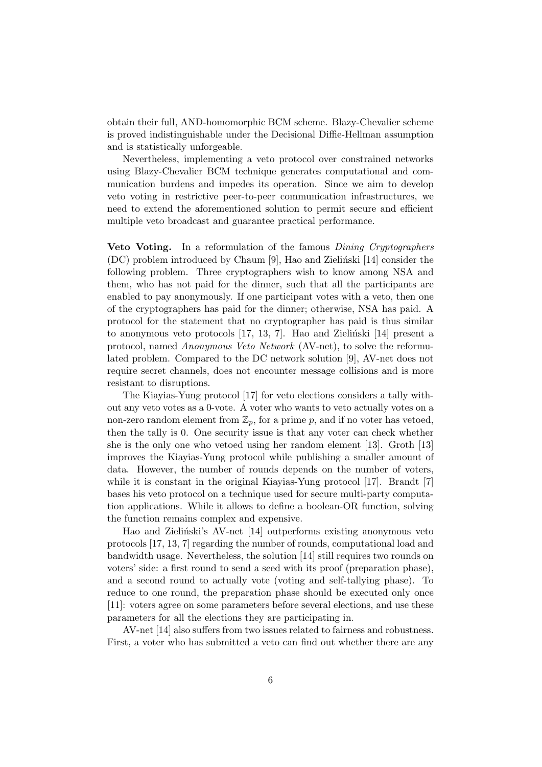obtain their full, AND-homomorphic BCM scheme. Blazy-Chevalier scheme is proved indistinguishable under the Decisional Diffie-Hellman assumption and is statistically unforgeable.

Nevertheless, implementing a veto protocol over constrained networks using Blazy-Chevalier BCM technique generates computational and communication burdens and impedes its operation. Since we aim to develop veto voting in restrictive peer-to-peer communication infrastructures, we need to extend the aforementioned solution to permit secure and efficient multiple veto broadcast and guarantee practical performance.

Veto Voting. In a reformulation of the famous Dining Cryptographers  $(DC)$  problem introduced by Chaum [9], Hao and Zieliński [14] consider the following problem. Three cryptographers wish to know among NSA and them, who has not paid for the dinner, such that all the participants are enabled to pay anonymously. If one participant votes with a veto, then one of the cryptographers has paid for the dinner; otherwise, NSA has paid. A protocol for the statement that no cryptographer has paid is thus similar to anonymous veto protocols  $[17, 13, 7]$ . Hao and Zieliński  $[14]$  present a protocol, named Anonymous Veto Network (AV-net), to solve the reformulated problem. Compared to the DC network solution [9], AV-net does not require secret channels, does not encounter message collisions and is more resistant to disruptions.

The Kiayias-Yung protocol [17] for veto elections considers a tally without any veto votes as a 0-vote. A voter who wants to veto actually votes on a non-zero random element from  $\mathbb{Z}_p$ , for a prime p, and if no voter has vetoed, then the tally is 0. One security issue is that any voter can check whether she is the only one who vetoed using her random element [13]. Groth [13] improves the Kiayias-Yung protocol while publishing a smaller amount of data. However, the number of rounds depends on the number of voters, while it is constant in the original Kiayias-Yung protocol [17]. Brandt [7] bases his veto protocol on a technique used for secure multi-party computation applications. While it allows to define a boolean-OR function, solving the function remains complex and expensive.

Hao and Zieliński's AV-net [14] outperforms existing anonymous veto protocols [17, 13, 7] regarding the number of rounds, computational load and bandwidth usage. Nevertheless, the solution [14] still requires two rounds on voters' side: a first round to send a seed with its proof (preparation phase), and a second round to actually vote (voting and self-tallying phase). To reduce to one round, the preparation phase should be executed only once [11]: voters agree on some parameters before several elections, and use these parameters for all the elections they are participating in.

AV-net [14] also suffers from two issues related to fairness and robustness. First, a voter who has submitted a veto can find out whether there are any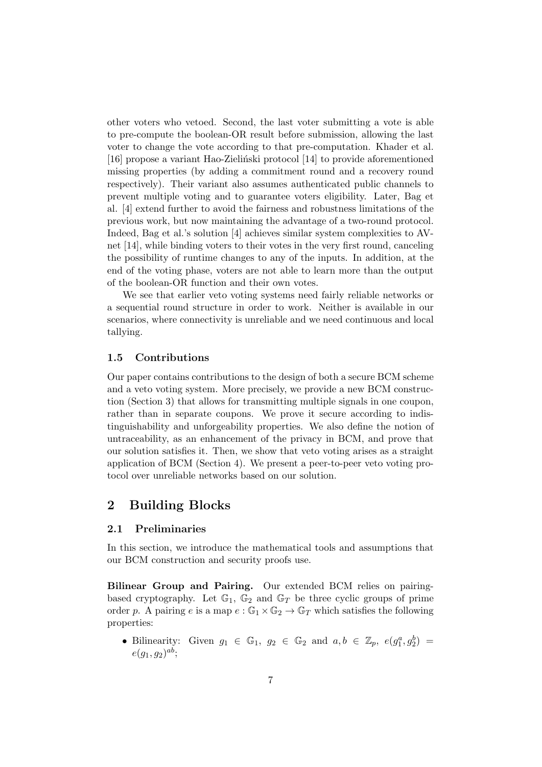other voters who vetoed. Second, the last voter submitting a vote is able to pre-compute the boolean-OR result before submission, allowing the last voter to change the vote according to that pre-computation. Khader et al. [16] propose a variant Hao-Zieliński protocol [14] to provide aforementioned missing properties (by adding a commitment round and a recovery round respectively). Their variant also assumes authenticated public channels to prevent multiple voting and to guarantee voters eligibility. Later, Bag et al. [4] extend further to avoid the fairness and robustness limitations of the previous work, but now maintaining the advantage of a two-round protocol. Indeed, Bag et al.'s solution [4] achieves similar system complexities to AVnet [14], while binding voters to their votes in the very first round, canceling the possibility of runtime changes to any of the inputs. In addition, at the end of the voting phase, voters are not able to learn more than the output of the boolean-OR function and their own votes.

We see that earlier veto voting systems need fairly reliable networks or a sequential round structure in order to work. Neither is available in our scenarios, where connectivity is unreliable and we need continuous and local tallying.

#### 1.5 Contributions

Our paper contains contributions to the design of both a secure BCM scheme and a veto voting system. More precisely, we provide a new BCM construction (Section 3) that allows for transmitting multiple signals in one coupon, rather than in separate coupons. We prove it secure according to indistinguishability and unforgeability properties. We also define the notion of untraceability, as an enhancement of the privacy in BCM, and prove that our solution satisfies it. Then, we show that veto voting arises as a straight application of BCM (Section 4). We present a peer-to-peer veto voting protocol over unreliable networks based on our solution.

# 2 Building Blocks

#### 2.1 Preliminaries

In this section, we introduce the mathematical tools and assumptions that our BCM construction and security proofs use.

Bilinear Group and Pairing. Our extended BCM relies on pairingbased cryptography. Let  $\mathbb{G}_1$ ,  $\mathbb{G}_2$  and  $\mathbb{G}_T$  be three cyclic groups of prime order p. A pairing e is a map  $e : \mathbb{G}_1 \times \mathbb{G}_2 \to \mathbb{G}_T$  which satisfies the following properties:

• Bilinearity: Given  $g_1 \in \mathbb{G}_1$ ,  $g_2 \in \mathbb{G}_2$  and  $a, b \in \mathbb{Z}_p$ ,  $e(g_1^a, g_2^b)$  $e(g_1, g_2)^{ab}$ ;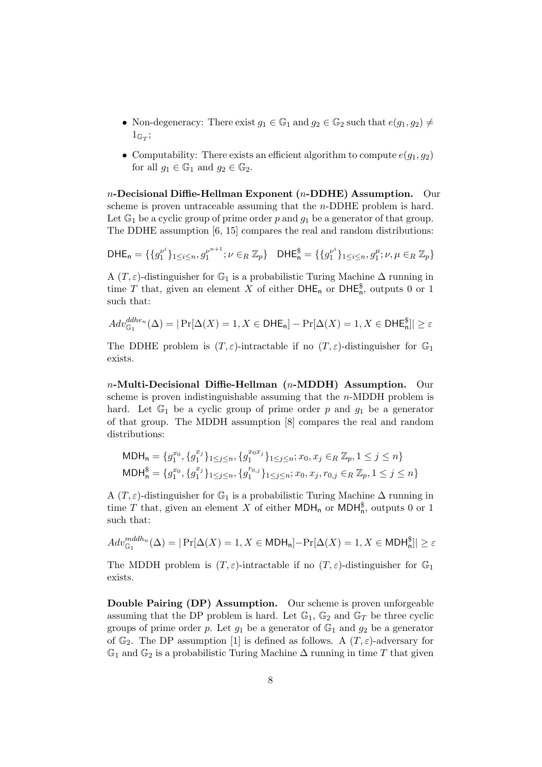- Non-degeneracy: There exist  $g_1 \in \mathbb{G}_1$  and  $g_2 \in \mathbb{G}_2$  such that  $e(g_1, g_2) \neq$  $1_{\mathbb{G}_T}$ ;
- Computability: There exists an efficient algorithm to compute  $e(q_1, q_2)$ for all  $g_1 \in \mathbb{G}_1$  and  $g_2 \in \mathbb{G}_2$ .

n-Decisional Diffie-Hellman Exponent (n-DDHE) Assumption. Our scheme is proven untraceable assuming that the  $n$ -DDHE problem is hard. Let  $\mathbb{G}_1$  be a cyclic group of prime order p and  $g_1$  be a generator of that group. The DDHE assumption [6, 15] compares the real and random distributions:

DHE<sub>n</sub> = {
$$
\{g_1^{\nu^i}\}_{1 \leq i \leq n}, g_1^{\nu^{n+1}}; \nu \in_R \mathbb{Z}_p
$$
} DHE<sub>n</sub><sup>s</sup> = { $\{g_1^{\nu^i}\}_{1 \leq i \leq n}, g_1^{\mu}; \nu, \mu \in_R \mathbb{Z}_p$ }

A  $(T, \varepsilon)$ -distinguisher for  $\mathbb{G}_1$  is a probabilistic Turing Machine  $\Delta$  running in time T that, given an element X of either  $DHE_n$  or  $DHE_n^{\$}$ , outputs 0 or 1 such that:

$$
Adv_{\mathbb{G}_1}^{ddhen}(\Delta) = |\Pr[\Delta(X) = 1, X \in \mathsf{DHE}_n] - \Pr[\Delta(X) = 1, X \in \mathsf{DHE}_n^{\$}]| \ge \varepsilon
$$

The DDHE problem is  $(T, \varepsilon)$ -intractable if no  $(T, \varepsilon)$ -distinguisher for  $\mathbb{G}_1$ exists.

n-Multi-Decisional Diffie-Hellman (n-MDDH) Assumption. Our scheme is proven indistinguishable assuming that the  $n$ -MDDH problem is hard. Let  $\mathbb{G}_1$  be a cyclic group of prime order p and  $g_1$  be a generator of that group. The MDDH assumption [8] compares the real and random distributions:

$$
\text{MDH}_{n} = \{g_1^{x_0}, \{g_1^{x_j}\}_{1 \leq j \leq n}, \{g_1^{x_0x_j}\}_{1 \leq j \leq n}; x_0, x_j \in_R \mathbb{Z}_p, 1 \leq j \leq n\}
$$
  
\n
$$
\text{MDH}_{n}^{\$} = \{g_1^{x_0}, \{g_1^{x_j}\}_{1 \leq j \leq n}, \{g_1^{r_{0,j}}\}_{1 \leq j \leq n}; x_0, x_j, r_{0,j} \in_R \mathbb{Z}_p, 1 \leq j \leq n\}
$$

A  $(T, \varepsilon)$ -distinguisher for  $\mathbb{G}_1$  is a probabilistic Turing Machine  $\Delta$  running in time T that, given an element X of either  $MDH_n$  or  $MDH_n^{\$}$ , outputs 0 or 1 such that:

$$
Adv_{\mathbb{G}_1}^{mddh_n}(\Delta) = |\Pr[\Delta(X) = 1, X \in \mathsf{MDH}_n] - \Pr[\Delta(X) = 1, X \in \mathsf{MDH}_n^{\$}]| \ge \varepsilon
$$

The MDDH problem is  $(T, \varepsilon)$ -intractable if no  $(T, \varepsilon)$ -distinguisher for  $\mathbb{G}_1$ exists.

Double Pairing (DP) Assumption. Our scheme is proven unforgeable assuming that the DP problem is hard. Let  $\mathbb{G}_1$ ,  $\mathbb{G}_2$  and  $\mathbb{G}_T$  be three cyclic groups of prime order p. Let  $g_1$  be a generator of  $\mathbb{G}_1$  and  $g_2$  be a generator of  $\mathbb{G}_2$ . The DP assumption [1] is defined as follows. A  $(T, \varepsilon)$ -adversary for  $\mathbb{G}_1$  and  $\mathbb{G}_2$  is a probabilistic Turing Machine  $\Delta$  running in time T that given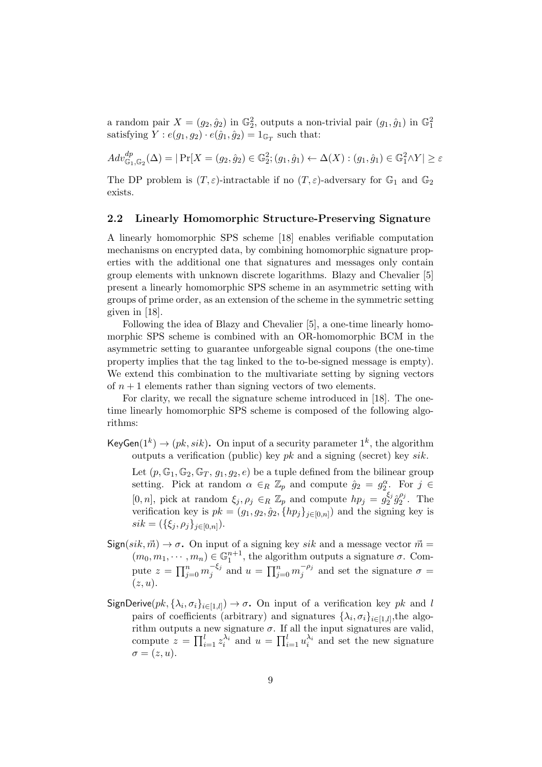a random pair  $X = (g_2, \hat{g}_2)$  in  $\mathbb{G}_2^2$ , outputs a non-trivial pair  $(g_1, \hat{g}_1)$  in  $\mathbb{G}_1^2$ satisfying  $Y: e(g_1, g_2) \cdot e(\hat{g}_1, \hat{g}_2) = 1_{\mathbb{G}_T}$  such that:

$$
Adv_{\mathbb{G}_1,\mathbb{G}_2}^{dp}(\Delta) = |\Pr[X = (g_2, \hat{g}_2) \in \mathbb{G}_2^2; (g_1, \hat{g}_1) \leftarrow \Delta(X) : (g_1, \hat{g}_1) \in \mathbb{G}_1^2 \wedge Y| \ge \varepsilon
$$

The DP problem is  $(T, \varepsilon)$ -intractable if no  $(T, \varepsilon)$ -adversary for  $\mathbb{G}_1$  and  $\mathbb{G}_2$ exists.

#### 2.2 Linearly Homomorphic Structure-Preserving Signature

A linearly homomorphic SPS scheme [18] enables verifiable computation mechanisms on encrypted data, by combining homomorphic signature properties with the additional one that signatures and messages only contain group elements with unknown discrete logarithms. Blazy and Chevalier [5] present a linearly homomorphic SPS scheme in an asymmetric setting with groups of prime order, as an extension of the scheme in the symmetric setting given in [18].

Following the idea of Blazy and Chevalier [5], a one-time linearly homomorphic SPS scheme is combined with an OR-homomorphic BCM in the asymmetric setting to guarantee unforgeable signal coupons (the one-time property implies that the tag linked to the to-be-signed message is empty). We extend this combination to the multivariate setting by signing vectors of  $n + 1$  elements rather than signing vectors of two elements.

For clarity, we recall the signature scheme introduced in [18]. The onetime linearly homomorphic SPS scheme is composed of the following algorithms:

KeyGen( $1^k$ )  $\rightarrow$  ( $pk, sik$ ). On input of a security parameter  $1^k$ , the algorithm outputs a verification (public) key  $pk$  and a signing (secret) key  $sik$ .

Let  $(p, \mathbb{G}_1, \mathbb{G}_2, \mathbb{G}_T, q_1, q_2, e)$  be a tuple defined from the bilinear group setting. Pick at random  $\alpha \in_R \mathbb{Z}_p$  and compute  $\hat{g}_2 = g_2^{\alpha}$ . For  $j \in$ [0, n], pick at random  $\xi_j$ ,  $\rho_j \in_R \mathbb{Z}_p$  and compute  $hp_j = g_2^{\xi_j}$  $\frac{\xi_j}{2} \hat g_2^{\rho_j}$  $v_2^{p_j}$ . The verification key is  $pk = (g_1, g_2, \hat{g}_2, \{hp_j\}_{j\in[0,n]})$  and the signing key is  $sik = (\{\xi_j, \rho_j\}_{j \in [0,n]}).$ 

- $Sign(sik, \vec{m}) \rightarrow \sigma$ . On input of a signing key sik and a message vector  $\vec{m} =$  $(m_0, m_1, \dots, m_n) \in \mathbb{G}_1^{n+1}$ , the algorithm outputs a signature  $\sigma$ . Compute  $z = \prod_{j=0}^n m_j^{-\xi_j}$  $j^{-\xi_j}$  and  $u = \prod_{j=0}^n m_j^{-\rho_j}$  $j^{-\rho_j}$  and set the signature  $\sigma =$  $(z, u)$ .
- SignDerive $(pk, \{\lambda_i, \sigma_i\}_{i \in [1,l]}) \rightarrow \sigma$ . On input of a verification key pk and l pairs of coefficients (arbitrary) and signatures  $\{\lambda_i, \sigma_i\}_{i \in [1,l]}$ , the algorithm outputs a new signature  $\sigma$ . If all the input signatures are valid, compute  $z = \prod_{i=1}^{l} z_i^{\lambda_i}$  and  $u = \prod_{i=1}^{l} u_i^{\lambda_i}$  and set the new signature  $\sigma = (z, u).$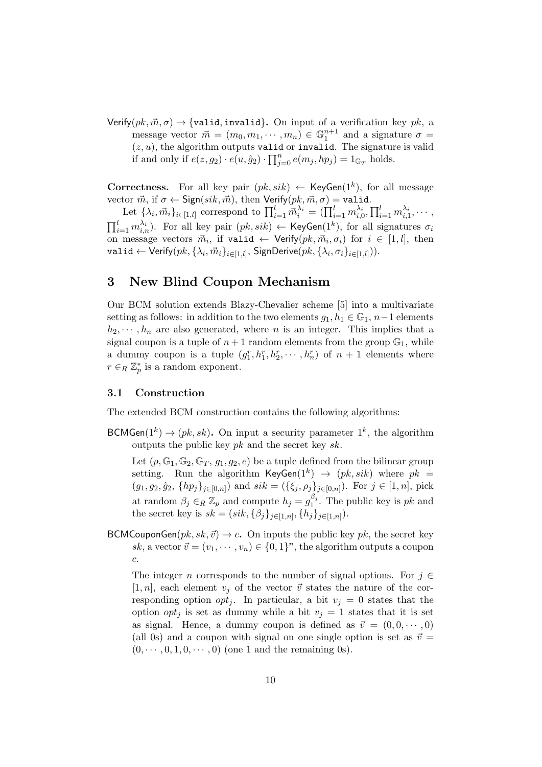Verify( $pk, \vec{m}, \sigma$ )  $\rightarrow$  {valid, invalid}. On input of a verification key  $pk$ , a message vector  $\vec{m} = (m_0, m_1, \dots, m_n) \in \mathbb{G}_1^{n+1}$  and a signature  $\sigma =$  $(z, u)$ , the algorithm outputs valid or invalid. The signature is valid if and only if  $e(z, g_2) \cdot e(u, \hat{g}_2) \cdot \prod_{j=0}^n e(m_j, hp_j) = 1_{\mathbb{G}_T}$  holds.

**Correctness.** For all key pair  $(pk, sik) \leftarrow \text{KeyGen}(1^k)$ , for all message vector  $\vec{m}$ , if  $\sigma \leftarrow$  Sign $(sik, \vec{m})$ , then Verify $(pk, \vec{m}, \sigma)$  = valid.

Let  $\{\lambda_i, \vec{m}_i\}_{i \in [1,l]}$  correspond to  $\prod_{i=1}^l \vec{m}_i^{\lambda_i} = (\prod_{i=1}^l m_{i,0}^{\lambda_i}, \prod_{i=1}^l m_{i,1}^{\lambda_i}, \cdots,$  $\prod_{i=1}^l m_{i,n}^{\lambda_i}$ ). For all key pair  $(pk, sik) \leftarrow \textsf{KeyGen}(1^k)$ , for all signatures  $\sigma_i$ on message vectors  $\vec{m}_i$ , if valid  $\leftarrow$  Verify $(pk, \vec{m}_i, \sigma_i)$  for  $i \in [1, l]$ , then  $\mathtt{valid} \leftarrow \mathsf{Verify}(pk, \{\lambda_i, \vec{m}_i\}_{i \in [1,l]},\, \mathsf{SignDerive}(pk, \{\lambda_i, \sigma_i\}_{i \in [1,l]})).$ 

# 3 New Blind Coupon Mechanism

Our BCM solution extends Blazy-Chevalier scheme [5] into a multivariate setting as follows: in addition to the two elements  $g_1, h_1 \in \mathbb{G}_1$ ,  $n-1$  elements  $h_2, \dots, h_n$  are also generated, where n is an integer. This implies that a signal coupon is a tuple of  $n+1$  random elements from the group  $\mathbb{G}_1$ , while a dummy coupon is a tuple  $(g_1^r, h_1^r, h_2^r, \dots, h_n^r)$  of  $n + 1$  elements where  $r \in_R \mathbb{Z}_p^*$  is a random exponent.

#### 3.1 Construction

The extended BCM construction contains the following algorithms:

 $BCMGen(1^k) \rightarrow (pk, sk)$ . On input a security parameter  $1^k$ , the algorithm outputs the public key  $pk$  and the secret key  $sk$ .

Let  $(p, \mathbb{G}_1, \mathbb{G}_2, \mathbb{G}_T, g_1, g_2, e)$  be a tuple defined from the bilinear group setting. Run the algorithm  $KeyGen(1^k) \rightarrow (pk, sik)$  where  $pk =$  $(g_1, g_2, \hat{g}_2, \{hp_j\}_{j\in[0,n]})$  and  $sik = (\{\xi_j, \rho_j\}_{j\in[0,n]})$ . For  $j \in [1,n]$ , pick at random  $\beta_j \in_R \mathbb{Z}_p$  and compute  $h_j = g_1^{\beta_j}$  $\int_1^{\rho_j}$ . The public key is pk and the secret key is  $sk = (sik, {\{\beta_j\}}_{j \in [1,n]}, {\{h_j\}}_{j \in [1,n]}).$ 

BCMCouponGen $(pk, sk, \vec{v}) \rightarrow c$ . On inputs the public key pk, the secret key sk, a vector  $\vec{v} = (v_1, \dots, v_n) \in \{0, 1\}^n$ , the algorithm outputs a coupon c.

The integer n corresponds to the number of signal options. For  $j \in$ [1, n], each element  $v_i$  of the vector  $\vec{v}$  states the nature of the corresponding option *opt<sub>i</sub>*. In particular, a bit  $v_i = 0$  states that the option *opt<sub>j</sub>* is set as dummy while a bit  $v_j = 1$  states that it is set as signal. Hence, a dummy coupon is defined as  $\vec{v} = (0, 0, \dots, 0)$ (all 0s) and a coupon with signal on one single option is set as  $\vec{v} =$  $(0, \dots, 0, 1, 0, \dots, 0)$  (one 1 and the remaining 0s).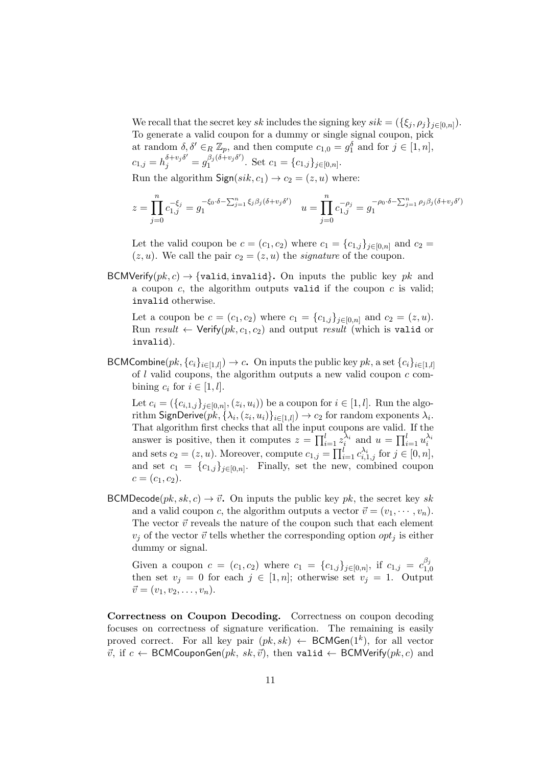We recall that the secret key sk includes the signing key  $sik = (\{\xi_j, \rho_j\}_{j \in [0,n]})$ . To generate a valid coupon for a dummy or single signal coupon, pick at random  $\delta, \delta' \in_R \mathbb{Z}_p$ , and then compute  $c_{1,0} = g_1^{\delta}$  and for  $j \in [1, n]$ ,  $c_{1,j} = h_j^{\delta + v_j \delta'} = g_1^{\beta_j(\delta + v_j \delta')}$  $\int_1^{\beta_j(\mathbf{0}+v_j\mathbf{0})}$ . Set  $c_1=\{c_{1,j}\}_{j\in[0,n]}.$ 

Run the algorithm  $Sign(sik, c_1) \rightarrow c_2 = (z, u)$  where:

$$
z = \prod_{j=0}^{n} c_{1,j}^{-\xi_j} = g_1^{-\xi_0 \cdot \delta - \sum_{j=1}^{n} \xi_j \beta_j (\delta + v_j \delta')} \quad u = \prod_{j=0}^{n} c_{1,j}^{-\rho_j} = g_1^{-\rho_0 \cdot \delta - \sum_{j=1}^{n} \rho_j \beta_j (\delta + v_j \delta')}
$$

Let the valid coupon be  $c = (c_1, c_2)$  where  $c_1 = \{c_{1,j}\}_{j \in [0,n]}$  and  $c_2 =$  $(z, u)$ . We call the pair  $c_2 = (z, u)$  the signature of the coupon.

BCMVerify( $pk, c$ )  $\rightarrow$  {valid, invalid}. On inputs the public key  $pk$  and a coupon c, the algorithm outputs valid if the coupon c is valid: invalid otherwise.

Let a coupon be  $c = (c_1, c_2)$  where  $c_1 = \{c_{1,j}\}_{j \in [0,n]}$  and  $c_2 = (z, u)$ . Run result  $\leftarrow$  Verify(pk, c<sub>1</sub>, c<sub>2</sub>) and output result (which is valid or invalid).

BCMCombine $(pk, \{c_i\}_{i \in [1,l]}) \rightarrow c$ . On inputs the public key  $pk$ , a set  $\{c_i\}_{i \in [1,l]}$ of  $l$  valid coupons, the algorithm outputs a new valid coupon  $c$  combining  $c_i$  for  $i \in [1, l]$ .

Let  $c_i = (\{c_{i,1,j}\}_{j \in [0,n]},(z_i, u_i))$  be a coupon for  $i \in [1,l]$ . Run the algorithm SignDerive $(pk, \{\lambda_i, (z_i, u_i)\}_{i \in [1,l]}) \rightarrow c_2$  for random exponents  $\lambda_i$ . That algorithm first checks that all the input coupons are valid. If the answer is positive, then it computes  $z = \prod_{i=1}^{l} z_i^{\lambda_i}$  and  $u = \prod_{i=1}^{l} u_i^{\lambda_i}$ and sets  $c_2 = (z, u)$ . Moreover, compute  $c_{1,j} = \prod_{i=1}^{l} c_{i,1,j}^{\lambda_i}$  for  $j \in [0, n]$ , and set  $c_1 = \{c_{1,j}\}_{j \in [0,n]}$ . Finally, set the new, combined coupon  $c = (c_1, c_2).$ 

BCMDecode(*pk, sk, c*)  $\rightarrow \vec{v}$ . On inputs the public key *pk*, the secret key *sk* and a valid coupon c, the algorithm outputs a vector  $\vec{v} = (v_1, \dots, v_n)$ . The vector  $\vec{v}$  reveals the nature of the coupon such that each element  $v_j$  of the vector  $\vec{v}$  tells whether the corresponding option  $opt_j$  is either dummy or signal.

Given a coupon  $c = (c_1, c_2)$  where  $c_1 = \{c_{1,j}\}_{j \in [0,n]}$ , if  $c_{1,j} = c_{1,j}^{\beta_{j}}$ 1,0 then set  $v_j = 0$  for each  $j \in [1, n]$ ; otherwise set  $v_j = 1$ . Output  $\vec{v} = (v_1, v_2, \ldots, v_n).$ 

Correctness on Coupon Decoding. Correctness on coupon decoding focuses on correctness of signature verification. The remaining is easily proved correct. For all key pair  $(pk, sk) \leftarrow \textsf{BCMGen}(1^k)$ , for all vector  $\vec{v}$ , if  $c \leftarrow \text{BCMCouponGen}(pk, sk, \vec{v})$ , then valid  $\leftarrow \text{BCMVerify}(pk, c)$  and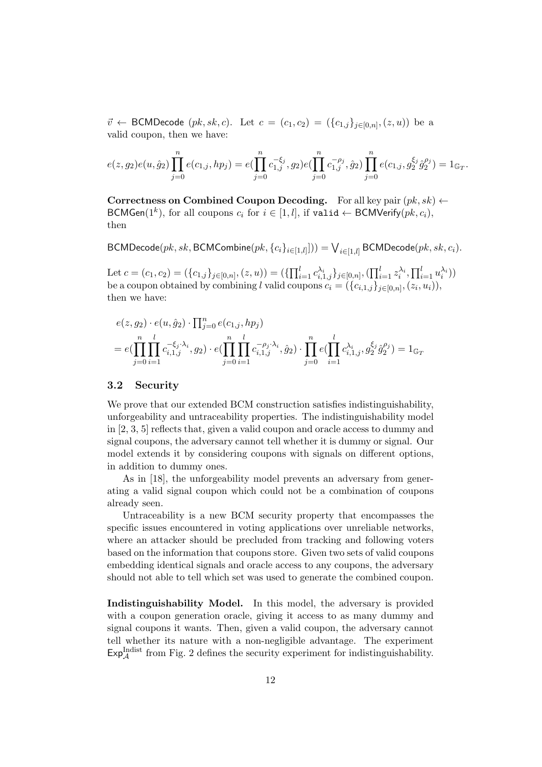$\vec{v} \leftarrow \text{BCMDecode }(pk, sk, c)$ . Let  $c = (c_1, c_2) = (\{c_{1,j}\}_{j \in [0,n]}, (z, u))$  be a valid coupon, then we have:

$$
e(z,g_2)e(u,\hat{g}_2)\prod_{j=0}^n e(c_{1,j},hp_j)=e(\prod_{j=0}^n c_{1,j}^{-\xi_j},g_2)e(\prod_{j=0}^n c_{1,j}^{-\rho_j},\hat{g}_2)\prod_{j=0}^n e(c_{1,j},g_2^{\xi_j}\hat{g}_2^{\rho_j})=1_{\mathbb{G}_T}.
$$

Correctness on Combined Coupon Decoding. For all key pair  $(pk, sk)$ BCMGen(1<sup>k</sup>), for all coupons  $c_i$  for  $i \in [1, l]$ , if valid  $\leftarrow$  BCMVerify(pk,  $c_i$ ), then

 $\mathsf{BCMDecode}(pk, sk, \mathsf{BCMCombine}(pk, \{c_i\}_{i \in [1,l]}])) = \bigvee_{i \in [1,l]} \mathsf{BCMDecode}(pk, sk, c_i).$ 

Let  $c = (c_1, c_2) = (\{c_{1,j}\}_{j \in [0,n]}, (z, u)) = (\{\prod_{i=1}^l c_{i,1,j}^{\lambda_i}\}_{j \in [0,n]}, (\prod_{i=1}^l z_i^{\lambda_i}, \prod_{i=1}^l u_i^{\lambda_i}))$ be a coupon obtained by combining l valid coupons  $c_i = (\{c_{i,1,j}\}_{j\in[0,n]},(z_i,u_i)),$ then we have:

$$
e(z, g_2) \cdot e(u, \hat{g}_2) \cdot \prod_{j=0}^n e(c_{1,j}, hp_j)
$$
  
=  $e(\prod_{j=0}^n \prod_{i=1}^l c_{i,1,j}^{-\xi_j \cdot \lambda_i}, g_2) \cdot e(\prod_{j=0}^n \prod_{i=1}^l c_{i,1,j}^{-\rho_j \cdot \lambda_i}, \hat{g}_2) \cdot \prod_{j=0}^n e(\prod_{i=1}^l c_{i,1,j}^{\lambda_i}, g_2^{\xi_j} \hat{g}_2^{\rho_j}) = 1_{\mathbb{G}_T}$ 

#### 3.2 Security

We prove that our extended BCM construction satisfies indistinguishability, unforgeability and untraceability properties. The indistinguishability model in [2, 3, 5] reflects that, given a valid coupon and oracle access to dummy and signal coupons, the adversary cannot tell whether it is dummy or signal. Our model extends it by considering coupons with signals on different options, in addition to dummy ones.

As in [18], the unforgeability model prevents an adversary from generating a valid signal coupon which could not be a combination of coupons already seen.

Untraceability is a new BCM security property that encompasses the specific issues encountered in voting applications over unreliable networks, where an attacker should be precluded from tracking and following voters based on the information that coupons store. Given two sets of valid coupons embedding identical signals and oracle access to any coupons, the adversary should not able to tell which set was used to generate the combined coupon.

Indistinguishability Model. In this model, the adversary is provided with a coupon generation oracle, giving it access to as many dummy and signal coupons it wants. Then, given a valid coupon, the adversary cannot tell whether its nature with a non-negligible advantage. The experiment  $\text{Exp}_{\mathcal{A}}^{\text{Indist}}$  from Fig. 2 defines the security experiment for indistinguishability.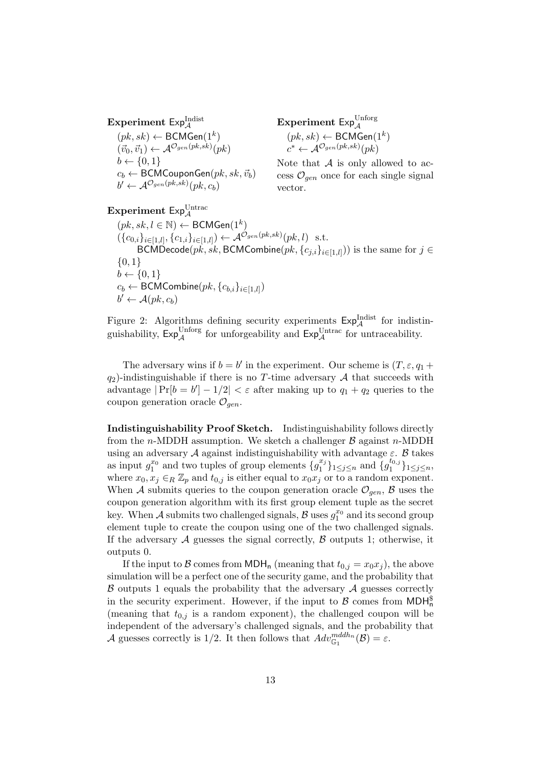Experiment  $\mathsf{Exp}_{\mathcal{A}}^{\text{Indist}}$ 

 $(pk, sk) \leftarrow \textsf{BCMGen}(1^k)$  $(\vec{v}_0, \vec{v}_1) \leftarrow \mathcal{A}^{\mathcal{O}_{gen}(pk, sk)}(pk)$  $b \leftarrow \{0, 1\}$  $c_b \leftarrow \mathsf{BCMC}$ oupon $\mathsf{Gen}(pk, sk, \vec{v}_b)$  $b' \leftarrow \mathcal{A}^{\mathcal{O}_{gen}(pk, sk)}(pk, c_b)$ 

Experiment  $Exp_{\mathcal{A}}^{\text{Unforg}}$  $(pk, sk) \leftarrow \textsf{BCMGen}(1^k)$  $c^* \leftarrow \mathcal{A}^{\mathcal{O}_{gen}(pk, sk)}(pk)$ 

Note that  $A$  is only allowed to access  $\mathcal{O}_{gen}$  once for each single signal vector.

# Experiment  $\mathsf{Exp}_{\mathcal{A}}^{\text{Untrac}}$

 $(pk, sk, l \in \mathbb{N}) \leftarrow \mathsf{BCMGen}(1^k)$  $(\{c_{0,i}\}_{i\in[1,l]},\{c_{1,i}\}_{i\in[1,l]}) \leftarrow \mathcal{A}^{\mathcal{O}_{gen}(pk,sk)}(pk, l)$  s.t.  $\mathsf{BCMDecode}(pk, sk, \mathsf{BCMCombine}(pk, \{c_{j,i}\}_{i \in [1,l]}))$  is the same for  $j \in$  $\{0, 1\}$  $b \leftarrow \{0, 1\}$  $c_b \leftarrow \mathsf{BCMC}$ ombine $(pk, \{c_{b,i}\}_{i \in [1,l]})$  $b' \leftarrow \mathcal{A}(pk, c_b)$ 

Figure 2: Algorithms defining security experiments  $Exp_{\mathcal{A}}^{\text{Indist}}$  for indistinguishability,  $\mathsf{Exp}_{\mathcal{A}}^{\text{Unforg}}$  for unforgeability and  $\mathsf{Exp}_{\mathcal{A}}^{\text{Untrac}}$  for untraceability.

The adversary wins if  $b = b'$  in the experiment. Our scheme is  $(T, \varepsilon, q_1 +$  $q_2$ )-indistinguishable if there is no T-time adversary A that succeeds with advantage  $|\Pr[b = b'] - 1/2| < \varepsilon$  after making up to  $q_1 + q_2$  queries to the coupon generation oracle  $\mathcal{O}_{gen}$ .

Indistinguishability Proof Sketch. Indistinguishability follows directly from the n-MDDH assumption. We sketch a challenger  $\beta$  against n-MDDH using an adversary A against indistinguishability with advantage  $\varepsilon$ . B takes as input  $g_1^{x_0}$  and two tuples of group elements  $\{g_1^{x_0}\}$  $\{x_j^{x_j}\}_{1 \leq j \leq n}$  and  $\{g_1^{t_{0,j}}\}$  $\{ {1}^{t0,j}\}_{1\leq j\leq n},$ where  $x_0, x_j \in_R \mathbb{Z}_p$  and  $t_{0,j}$  is either equal to  $x_0x_j$  or to a random exponent. When A submits queries to the coupon generation oracle  $\mathcal{O}_{gen}$ , B uses the coupon generation algorithm with its first group element tuple as the secret key. When  $\mathcal A$  submits two challenged signals,  $\mathcal B$  uses  $g_1^{x_0}$  and its second group element tuple to create the coupon using one of the two challenged signals. If the adversary  $A$  guesses the signal correctly,  $B$  outputs 1; otherwise, it outputs 0.

If the input to B comes from MDH<sub>n</sub> (meaning that  $t_{0,j} = x_0 x_j$ ), the above simulation will be a perfect one of the security game, and the probability that  $\beta$  outputs 1 equals the probability that the adversary  $\mathcal A$  guesses correctly in the security experiment. However, if the input to  $\beta$  comes from MDH<sup>§</sup> (meaning that  $t_{0,j}$  is a random exponent), the challenged coupon will be independent of the adversary's challenged signals, and the probability that A guesses correctly is 1/2. It then follows that  $Adv_{\mathbb{G}_1}^{mddh_n}(\mathcal{B}) = \varepsilon$ .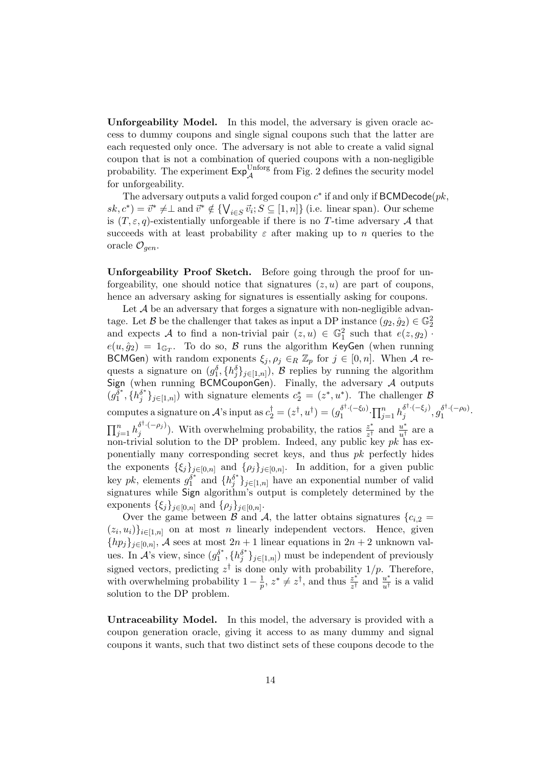Unforgeability Model. In this model, the adversary is given oracle access to dummy coupons and single signal coupons such that the latter are each requested only once. The adversary is not able to create a valid signal coupon that is not a combination of queried coupons with a non-negligible probability. The experiment  $\mathsf{Exp}_{\mathcal{A}}^{\text{Unforg}}$  from Fig. 2 defines the security model for unforgeability.

The adversary outputs a valid forged coupon  $c^*$  if and only if  $\mathsf{BCMDecode}(pk,$  $sk, c^*$ ) =  $\vec{v}^* \neq \perp$  and  $\vec{v}^* \notin {\{\mathsf{V}_{i \in S} \vec{v}_i; S \subseteq [1, n]\}}$  (i.e. linear span). Our scheme is  $(T, \varepsilon, q)$ -existentially unforgeable if there is no T-time adversary A that succeeds with at least probability  $\varepsilon$  after making up to n queries to the oracle  $\mathcal{O}_{gen}$ .

Unforgeability Proof Sketch. Before going through the proof for unforgeability, one should notice that signatures  $(z, u)$  are part of coupons, hence an adversary asking for signatures is essentially asking for coupons.

Let  $\mathcal A$  be an adversary that forges a signature with non-negligible advantage. Let B be the challenger that takes as input a DP instance  $(g_2, \hat{g}_2) \in \mathbb{G}_2^2$ and expects A to find a non-trivial pair  $(z, u) \in \mathbb{G}_1^2$  such that  $e(z, g_2)$ .  $e(u, \hat{g}_2) = 1_{\mathbb{G}_T}$ . To do so,  $\beta$  runs the algorithm KeyGen (when running BCMGen) with random exponents  $\xi_j$ ,  $\rho_j \in_R \mathbb{Z}_p$  for  $j \in [0, n]$ . When A requests a signature on  $(g_1^{\delta}, \{h_j^{\delta}\}_{j \in [1,n]})$ ,  $\beta$  replies by running the algorithm Sign (when running BCMCouponGen). Finally, the adversary  $A$  outputs  $(g_1^{\bar{\delta}^*}$  $\bar{\delta}^*_1, \{h^{\delta^*}_j$  $\delta_j^*$ }<sub>j∈[1,n]</sub>) with signature elements  $c_2^* = (z^*, u^*)$ . The challenger B computes a signature on A's input as  $c_2^{\dagger} = (z^{\dagger}, u^{\dagger}) = (g_1^{\delta^{\dagger} \cdot (-\xi_0)})$  $\prod_{j=1}^{\delta^{\dagger}\cdot(-\xi_{0})}\cdot\prod_{j=1}^{n}h_{j}^{\delta^{\dagger}\cdot(-\xi_{j})}$  ${\delta^{\dagger}\cdot(-\xi_j)\over j}, g_1^{\delta^{\dagger}\cdot(-\rho_0)}$  $\int_{1}^{\rho^{(1)}(-\rho_0)}$ .  $\prod_{j=1}^n h_j^{\delta^{\dagger}\cdot(-\rho_j)}$  $j_j^{\delta^{\dagger} \cdot (-\rho_j)}$ ). With overwhelming probability, the ratios  $\frac{z^*}{z^{\dagger}}$  $\frac{z^*}{z^{\dagger}}$  and  $\frac{u^*}{u^{\dagger}}$  are a non-trivial solution to the DP problem. Indeed, any public key  $pk$  has exponentially many corresponding secret keys, and thus  $pk$  perfectly hides the exponents  $\{\xi_j\}_{j\in[0,n]}$  and  $\{\rho_j\}_{j\in[0,n]}$ . In addition, for a given public key  $pk$ , elements  $g_1^{\delta^*}$  $\delta^*$  and  $\{h_j^{\delta^*}\}$  $\binom{\delta^*}{j}_{j\in[1,n]}$  have an exponential number of valid signatures while Sign algorithm's output is completely determined by the exponents  $\{\xi_j\}_{j\in[0,n]}$  and  $\{\rho_j\}_{j\in[0,n]}.$ 

Over the game between  $\mathcal{B}$  and  $\mathcal{A}$ , the latter obtains signatures  $\{c_{i,2} =$  $(z_i, u_i)\}_{i \in [1,n]}$  on at most *n* linearly independent vectors. Hence, given  $\{hp_j\}_{j\in[0,n]},$  A sees at most  $2n+1$  linear equations in  $2n+2$  unknown values. In  $\mathcal{A}$ 's view, since  $(g_1^{\delta^*})$  $\delta^*_1, \{h^{\delta^*}_j$  $\binom{\delta^*}{j}_{j\in[1,n]}$  must be independent of previously signed vectors, predicting  $z^{\dagger}$  is done only with probability  $1/p$ . Therefore, with overwhelming probability  $1 - \frac{1}{n}$  $\frac{1}{p}$ ,  $z^* \neq z^{\dagger}$ , and thus  $\frac{z^*}{z^{\dagger}}$  $\frac{z^*}{z^{\dagger}}$  and  $\frac{u^*}{u^{\dagger}}$  $\frac{u^*}{u^{\dagger}}$  is a valid solution to the DP problem.

Untraceability Model. In this model, the adversary is provided with a coupon generation oracle, giving it access to as many dummy and signal coupons it wants, such that two distinct sets of these coupons decode to the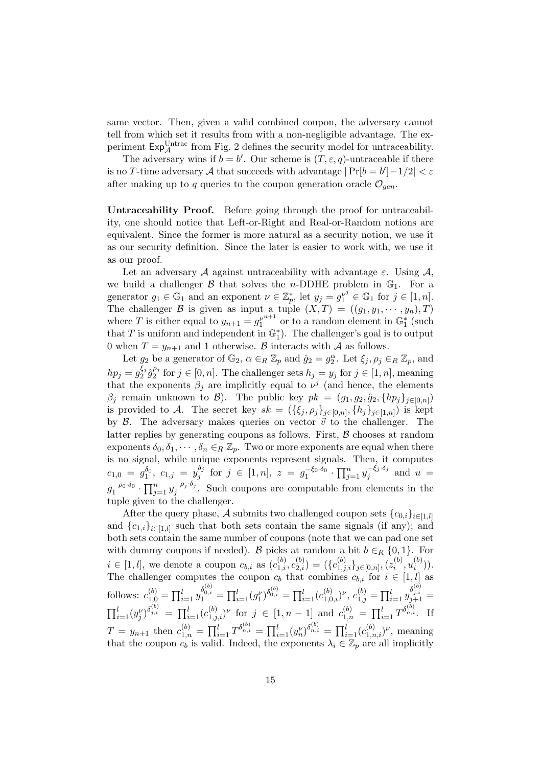same vector. Then, given a valid combined coupon, the adversary cannot tell from which set it results from with a non-negligible advantage. The experiment  $Exp_{\mathcal{A}}^{\text{Untrac}}$  from Fig. 2 defines the security model for untraceability.

The adversary wins if  $b = b'$ . Our scheme is  $(T, \varepsilon, q)$ -untraceable if there is no T-time adversary A that succeeds with advantage  $|\Pr[b = b'] - 1/2| < \varepsilon$ after making up to q queries to the coupon generation oracle  $\mathcal{O}_{gen}$ .

Untraceability Proof. Before going through the proof for untraceability, one should notice that Left-or-Right and Real-or-Random notions are equivalent. Since the former is more natural as a security notion, we use it as our security definition. Since the later is easier to work with, we use it as our proof.

Let an adversary A against untraceability with advantage  $\varepsilon$ . Using  $\mathcal{A}$ , we build a challenger  $\beta$  that solves the *n*-DDHE problem in  $\mathbb{G}_1$ . For a generator  $g_1 \in \mathbb{G}_1$  and an exponent  $\nu \in \mathbb{Z}_p^*$ , let  $y_j = g_1^{\nu^j} \in \mathbb{G}_1$  for  $j \in [1, n]$ . The challenger B is given as input a tuple  $(X,T) = ((g_1, y_1, \dots, y_n), T)$ where T is either equal to  $y_{n+1} = g_1^{\nu^{n+1}}$  $y^{n+1}_{1}$  or to a random element in  $\mathbb{G}_{1}^{*}$  (such that T is uniform and independent in  $\mathbb{G}_1^*$ ). The challenger's goal is to output 0 when  $T = y_{n+1}$  and 1 otherwise. B interacts with A as follows.

Let  $g_2$  be a generator of  $\mathbb{G}_2$ ,  $\alpha \in_R \mathbb{Z}_p$  and  $\hat{g}_2 = g_2^{\alpha}$ . Let  $\xi_j$ ,  $\rho_j \in_R \mathbb{Z}_p$ , and  $hp_j = g_2^{\xi_j}$  $\frac{\xi_j}{2} \hat{g}^{\rho_j}_2$  $e_2^{p_j}$  for  $j \in [0, n]$ . The challenger sets  $h_j = y_j$  for  $j \in [1, n]$ , meaning that the exponents  $\beta_j$  are implicitly equal to  $\nu^j$  (and hence, the elements  $\beta_j$  remain unknown to B. The public key  $pk = (g_1, g_2, \hat{g}_2, \{hp_j\}_{j \in [0,n]})$ is provided to A. The secret key  $sk = (\{\xi_j, \rho_j\}_{j\in[0,n]}, \{h_j\}_{j\in[1,n]})$  is kept by  $\beta$ . The adversary makes queries on vector  $\vec{v}$  to the challenger. The latter replies by generating coupons as follows. First,  $\beta$  chooses at random exponents  $\delta_0, \delta_1, \cdots, \delta_n \in_R \mathbb{Z}_p$ . Two or more exponents are equal when there is no signal, while unique exponents represent signals. Then, it computes  $c_{1,0}\ =\ g^{\delta_0}_1,\ c_{1,j}\ =\ y^{\delta_j}_j$  $\delta_j^{\delta_j}$  for  $j \in [1, n], z = g_1^{-\xi_0 \cdot \delta_0} \cdot \prod_{j=1}^n y_j^{-\xi_j \cdot \delta_j}$  $y_j^{-\varsigma_j \cdot o_j}$  and  $u =$  $g_1^{-\rho_0\cdot\delta_0}\cdot \prod_{j=1}^n y_j^{-\rho_j\cdot\delta_j}$  $j^{-\mu_j \cdot \sigma_j}$ . Such coupons are computable from elements in the tuple given to the challenger.

After the query phase, A submits two challenged coupon sets  ${c_{0,i}}_{i\in[1,l]}$ and  ${c_{1,i}}_{i\in[1,l]}$  such that both sets contain the same signals (if any); and both sets contain the same number of coupons (note that we can pad one set with dummy coupons if needed). B picks at random a bit  $b \in_R \{0, 1\}$ . For  $i \in [1, l],$  we denote a coupon  $c_{b,i}$  as  $(c_{1,i}^{(b)}, c_{2,i}^{(b)}) = (\{c_{1,j,i}^{(b)}\}_{j \in [0,n]}, (z_i^{(b)})$  $u_i^{(b)}, u_i^{(b)}$  $\binom{(b)}{i}$ . The challenger computes the coupon  $c_b$  that combines  $c_{b,i}$  for  $i \in [1, l]$  as follows:  $c_{1,0}^{(b)} = \prod_{i=1}^{l} y_1^{\delta_{0,i}^{(b)}} = \prod_{i=1}^{l} (g_1^{\nu})^{\delta_{0,i}^{(b)}} = \prod_{i=1}^{l} (c_{1,0,i}^{(b)})^{\nu}, c_{1,j}^{(b)} = \prod_{i=1}^{l} y_{j+1}^{\delta_{j,i}^{(b)}} =$  $\prod_{i=1}^l (y_j^{\nu})^{\delta_{j,i}^{(b)}} = \prod_{i=1}^l (c_{1,j,i}^{(b)})^{\nu}$  for  $j \in [1, n-1]$  and  $c_{1,n}^{(b)} = \prod_{i=1}^l T^{\delta_{n,i}^{(b)}}$ . If  $T = y_{n+1}$  then  $c_{1,n}^{(b)} = \prod_{i=1}^{l} T^{\delta_{n,i}^{(b)}} = \prod_{i=1}^{l} (y_n^{\nu})^{\delta_{n,i}^{(b)}} = \prod_{i=1}^{l} (c_{1,n,i}^{(b)})^{\nu}$ , meaning that the coupon  $c_b$  is valid. Indeed, the exponents  $\lambda_i \in \mathbb{Z}_p$  are all implicitly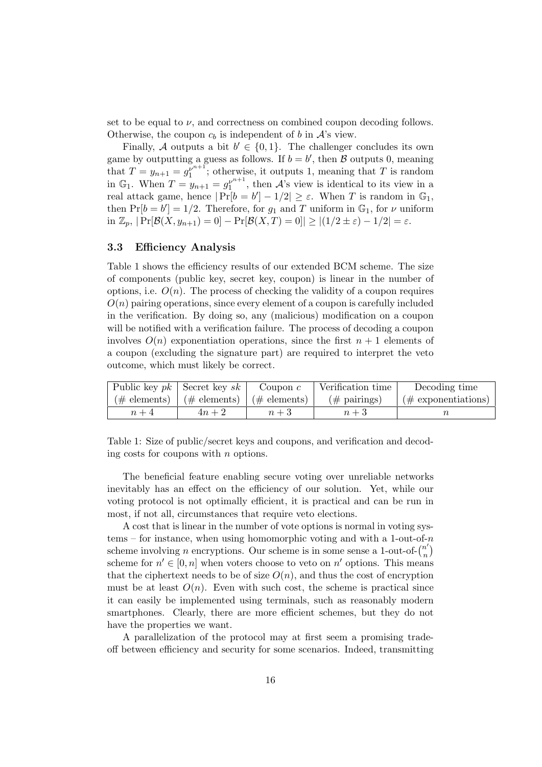set to be equal to  $\nu$ , and correctness on combined coupon decoding follows. Otherwise, the coupon  $c_b$  is independent of b in  $\mathcal{A}$ 's view.

Finally, A outputs a bit  $b' \in \{0, 1\}$ . The challenger concludes its own game by outputting a guess as follows. If  $b = b'$ , then  $\beta$  outputs 0, meaning that  $T = y_{n+1} = g_1^{\nu^{n+1}}$  $\mu^{n+1}$ ; otherwise, it outputs 1, meaning that T is random in  $\mathbb{G}_1$ . When  $T = y_{n+1} = g_1^{\nu^{n+1}}$  $y^{\mu^{n+1}}$ , then A's view is identical to its view in a real attack game, hence  $|\Pr[b = b'] - 1/2| \ge \varepsilon$ . When T is random in  $\mathbb{G}_1$ , then  $Pr[b = b'] = 1/2$ . Therefore, for  $g_1$  and T uniform in  $\mathbb{G}_1$ , for  $\nu$  uniform in  $\mathbb{Z}_p$ ,  $|\Pr[\mathcal{B}(X, y_{n+1}) = 0] - \Pr[\mathcal{B}(X, T) = 0]| \ge |(1/2 \pm \varepsilon) - 1/2| = \varepsilon$ .

#### 3.3 Efficiency Analysis

Table 1 shows the efficiency results of our extended BCM scheme. The size of components (public key, secret key, coupon) is linear in the number of options, i.e.  $O(n)$ . The process of checking the validity of a coupon requires  $O(n)$  pairing operations, since every element of a coupon is carefully included in the verification. By doing so, any (malicious) modification on a coupon will be notified with a verification failure. The process of decoding a coupon involves  $O(n)$  exponentiation operations, since the first  $n + 1$  elements of a coupon (excluding the signature part) are required to interpret the veto outcome, which must likely be correct.

|       | Public key $pk$ Secret key $sk$                     | Coupon $c$ | Verification time     | Decoding time          |
|-------|-----------------------------------------------------|------------|-----------------------|------------------------|
|       | $(\#$ elements) $  (\#$ elements) $  (\#$ elements) |            | $(\text{# pairings})$ | $(\#$ exponentiations) |
| $n+4$ | $4n + 2$                                            | $n+3$      | $n+3$                 |                        |

Table 1: Size of public/secret keys and coupons, and verification and decoding costs for coupons with  $n$  options.

The beneficial feature enabling secure voting over unreliable networks inevitably has an effect on the efficiency of our solution. Yet, while our voting protocol is not optimally efficient, it is practical and can be run in most, if not all, circumstances that require veto elections.

A cost that is linear in the number of vote options is normal in voting systems – for instance, when using homomorphic voting and with a 1-out-of- $n$ scheme involving *n* encryptions. Our scheme is in some sense a 1-out-of- $\binom{n}{n}$  $\binom{n'}{n}$ scheme for  $n' \in [0, n]$  when voters choose to veto on n' options. This means that the ciphertext needs to be of size  $O(n)$ , and thus the cost of encryption must be at least  $O(n)$ . Even with such cost, the scheme is practical since it can easily be implemented using terminals, such as reasonably modern smartphones. Clearly, there are more efficient schemes, but they do not have the properties we want.

A parallelization of the protocol may at first seem a promising tradeoff between efficiency and security for some scenarios. Indeed, transmitting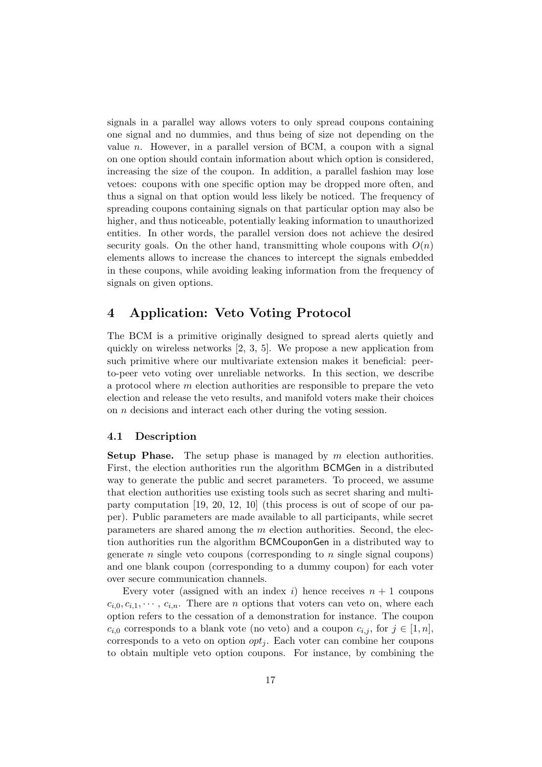signals in a parallel way allows voters to only spread coupons containing one signal and no dummies, and thus being of size not depending on the value  $n$ . However, in a parallel version of BCM, a coupon with a signal on one option should contain information about which option is considered, increasing the size of the coupon. In addition, a parallel fashion may lose vetoes: coupons with one specific option may be dropped more often, and thus a signal on that option would less likely be noticed. The frequency of spreading coupons containing signals on that particular option may also be higher, and thus noticeable, potentially leaking information to unauthorized entities. In other words, the parallel version does not achieve the desired security goals. On the other hand, transmitting whole coupons with  $O(n)$ elements allows to increase the chances to intercept the signals embedded in these coupons, while avoiding leaking information from the frequency of signals on given options.

# 4 Application: Veto Voting Protocol

The BCM is a primitive originally designed to spread alerts quietly and quickly on wireless networks [2, 3, 5]. We propose a new application from such primitive where our multivariate extension makes it beneficial: peerto-peer veto voting over unreliable networks. In this section, we describe a protocol where  $m$  election authorities are responsible to prepare the veto election and release the veto results, and manifold voters make their choices on n decisions and interact each other during the voting session.

#### 4.1 Description

**Setup Phase.** The setup phase is managed by  $m$  election authorities. First, the election authorities run the algorithm BCMGen in a distributed way to generate the public and secret parameters. To proceed, we assume that election authorities use existing tools such as secret sharing and multiparty computation [19, 20, 12, 10] (this process is out of scope of our paper). Public parameters are made available to all participants, while secret parameters are shared among the m election authorities. Second, the election authorities run the algorithm BCMCouponGen in a distributed way to generate n single veto coupons (corresponding to n single signal coupons) and one blank coupon (corresponding to a dummy coupon) for each voter over secure communication channels.

Every voter (assigned with an index i) hence receives  $n + 1$  coupons  $c_{i,0}, c_{i,1}, \cdots, c_{i,n}$ . There are *n* options that voters can veto on, where each option refers to the cessation of a demonstration for instance. The coupon  $c_{i,0}$  corresponds to a blank vote (no veto) and a coupon  $c_{i,j}$ , for  $j \in [1,n]$ , corresponds to a veto on option  $opt_i$ . Each voter can combine her coupons to obtain multiple veto option coupons. For instance, by combining the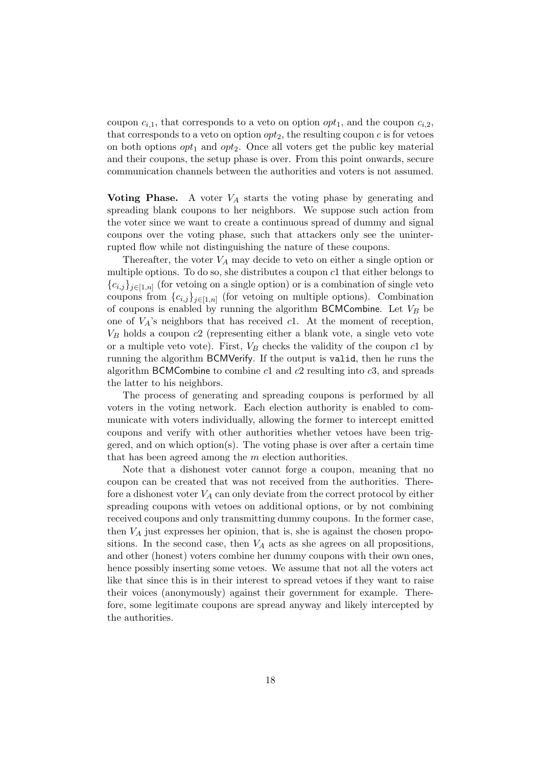coupon  $c_{i,1}$ , that corresponds to a veto on option  $opt_1$ , and the coupon  $c_{i,2}$ , that corresponds to a veto on option  $opt_2$ , the resulting coupon c is for vetoes on both options  $opt_1$  and  $opt_2$ . Once all voters get the public key material and their coupons, the setup phase is over. From this point onwards, secure communication channels between the authorities and voters is not assumed.

Voting Phase. A voter  $V_A$  starts the voting phase by generating and spreading blank coupons to her neighbors. We suppose such action from the voter since we want to create a continuous spread of dummy and signal coupons over the voting phase, such that attackers only see the uninterrupted flow while not distinguishing the nature of these coupons.

Thereafter, the voter  $V_A$  may decide to veto on either a single option or multiple options. To do so, she distributes a coupon c1 that either belongs to  ${c_{i,j}}_{j\in[1,n]}$  (for vetoing on a single option) or is a combination of single veto coupons from  ${c_{i,j}}_{j\in[1,n]}$  (for vetoing on multiple options). Combination of coupons is enabled by running the algorithm BCMCombine. Let  $V_B$  be one of  $V_A$ 's neighbors that has received c1. At the moment of reception,  $V_B$  holds a coupon  $c2$  (representing either a blank vote, a single veto vote or a multiple veto vote). First,  $V_B$  checks the validity of the coupon c1 by running the algorithm BCMVerify. If the output is valid, then he runs the algorithm BCMCombine to combine  $c1$  and  $c2$  resulting into  $c3$ , and spreads the latter to his neighbors.

The process of generating and spreading coupons is performed by all voters in the voting network. Each election authority is enabled to communicate with voters individually, allowing the former to intercept emitted coupons and verify with other authorities whether vetoes have been triggered, and on which option(s). The voting phase is over after a certain time that has been agreed among the  $m$  election authorities.

Note that a dishonest voter cannot forge a coupon, meaning that no coupon can be created that was not received from the authorities. Therefore a dishonest voter  $V_A$  can only deviate from the correct protocol by either spreading coupons with vetoes on additional options, or by not combining received coupons and only transmitting dummy coupons. In the former case, then  $V_A$  just expresses her opinion, that is, she is against the chosen propositions. In the second case, then  $V_A$  acts as she agrees on all propositions, and other (honest) voters combine her dummy coupons with their own ones, hence possibly inserting some vetoes. We assume that not all the voters act like that since this is in their interest to spread vetoes if they want to raise their voices (anonymously) against their government for example. Therefore, some legitimate coupons are spread anyway and likely intercepted by the authorities.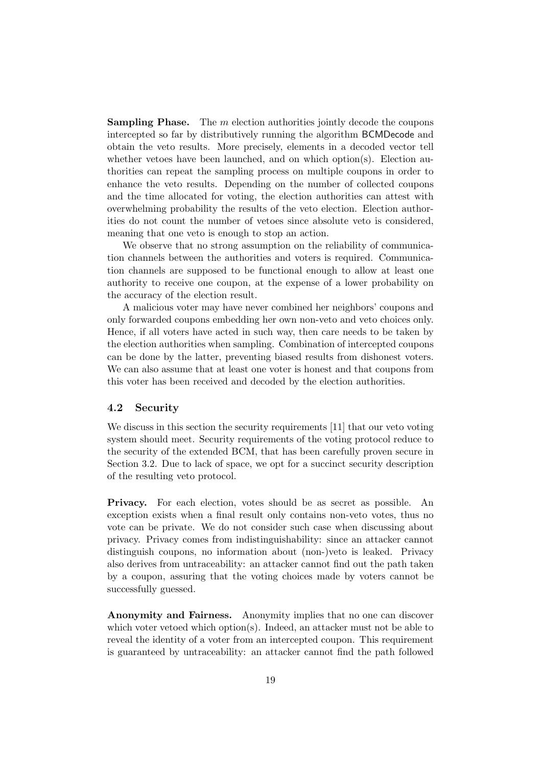**Sampling Phase.** The  $m$  election authorities jointly decode the coupons intercepted so far by distributively running the algorithm BCMDecode and obtain the veto results. More precisely, elements in a decoded vector tell whether vetoes have been launched, and on which option(s). Election authorities can repeat the sampling process on multiple coupons in order to enhance the veto results. Depending on the number of collected coupons and the time allocated for voting, the election authorities can attest with overwhelming probability the results of the veto election. Election authorities do not count the number of vetoes since absolute veto is considered, meaning that one veto is enough to stop an action.

We observe that no strong assumption on the reliability of communication channels between the authorities and voters is required. Communication channels are supposed to be functional enough to allow at least one authority to receive one coupon, at the expense of a lower probability on the accuracy of the election result.

A malicious voter may have never combined her neighbors' coupons and only forwarded coupons embedding her own non-veto and veto choices only. Hence, if all voters have acted in such way, then care needs to be taken by the election authorities when sampling. Combination of intercepted coupons can be done by the latter, preventing biased results from dishonest voters. We can also assume that at least one voter is honest and that coupons from this voter has been received and decoded by the election authorities.

#### 4.2 Security

We discuss in this section the security requirements [11] that our veto voting system should meet. Security requirements of the voting protocol reduce to the security of the extended BCM, that has been carefully proven secure in Section 3.2. Due to lack of space, we opt for a succinct security description of the resulting veto protocol.

Privacy. For each election, votes should be as secret as possible. An exception exists when a final result only contains non-veto votes, thus no vote can be private. We do not consider such case when discussing about privacy. Privacy comes from indistinguishability: since an attacker cannot distinguish coupons, no information about (non-)veto is leaked. Privacy also derives from untraceability: an attacker cannot find out the path taken by a coupon, assuring that the voting choices made by voters cannot be successfully guessed.

Anonymity and Fairness. Anonymity implies that no one can discover which voter vetoed which option(s). Indeed, an attacker must not be able to reveal the identity of a voter from an intercepted coupon. This requirement is guaranteed by untraceability: an attacker cannot find the path followed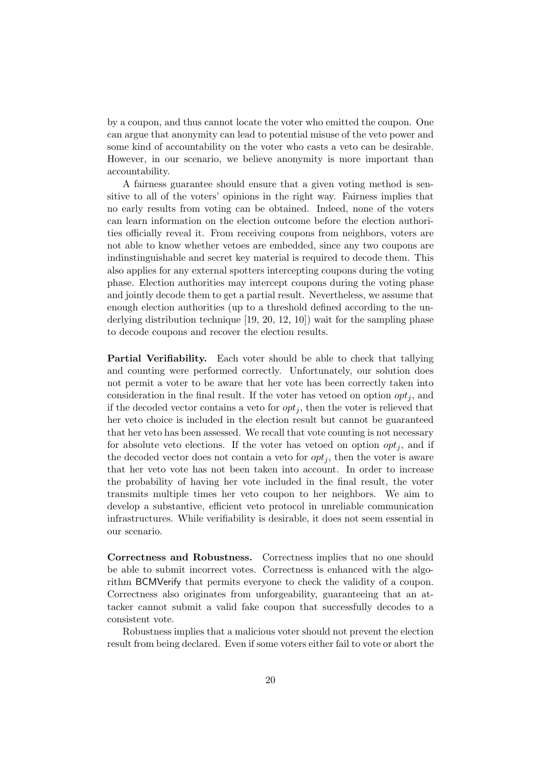by a coupon, and thus cannot locate the voter who emitted the coupon. One can argue that anonymity can lead to potential misuse of the veto power and some kind of accountability on the voter who casts a veto can be desirable. However, in our scenario, we believe anonymity is more important than accountability.

A fairness guarantee should ensure that a given voting method is sensitive to all of the voters' opinions in the right way. Fairness implies that no early results from voting can be obtained. Indeed, none of the voters can learn information on the election outcome before the election authorities officially reveal it. From receiving coupons from neighbors, voters are not able to know whether vetoes are embedded, since any two coupons are indinstinguishable and secret key material is required to decode them. This also applies for any external spotters intercepting coupons during the voting phase. Election authorities may intercept coupons during the voting phase and jointly decode them to get a partial result. Nevertheless, we assume that enough election authorities (up to a threshold defined according to the underlying distribution technique [19, 20, 12, 10]) wait for the sampling phase to decode coupons and recover the election results.

Partial Verifiability. Each voter should be able to check that tallying and counting were performed correctly. Unfortunately, our solution does not permit a voter to be aware that her vote has been correctly taken into consideration in the final result. If the voter has vetoed on option  $opt_i$ , and if the decoded vector contains a veto for  $opt_i$ , then the voter is relieved that her veto choice is included in the election result but cannot be guaranteed that her veto has been assessed. We recall that vote counting is not necessary for absolute veto elections. If the voter has vetoed on option  $opt_i$ , and if the decoded vector does not contain a veto for  $opt_i$ , then the voter is aware that her veto vote has not been taken into account. In order to increase the probability of having her vote included in the final result, the voter transmits multiple times her veto coupon to her neighbors. We aim to develop a substantive, efficient veto protocol in unreliable communication infrastructures. While verifiability is desirable, it does not seem essential in our scenario.

Correctness and Robustness. Correctness implies that no one should be able to submit incorrect votes. Correctness is enhanced with the algorithm BCMVerify that permits everyone to check the validity of a coupon. Correctness also originates from unforgeability, guaranteeing that an attacker cannot submit a valid fake coupon that successfully decodes to a consistent vote.

Robustness implies that a malicious voter should not prevent the election result from being declared. Even if some voters either fail to vote or abort the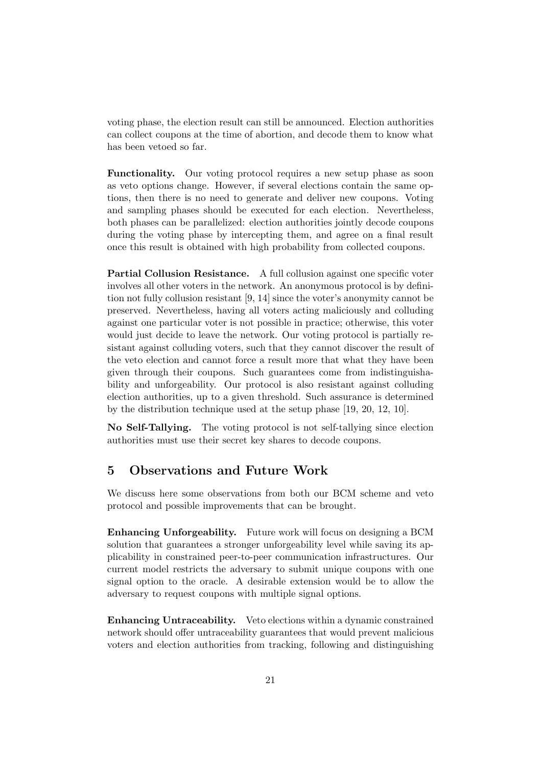voting phase, the election result can still be announced. Election authorities can collect coupons at the time of abortion, and decode them to know what has been vetoed so far.

Functionality. Our voting protocol requires a new setup phase as soon as veto options change. However, if several elections contain the same options, then there is no need to generate and deliver new coupons. Voting and sampling phases should be executed for each election. Nevertheless, both phases can be parallelized: election authorities jointly decode coupons during the voting phase by intercepting them, and agree on a final result once this result is obtained with high probability from collected coupons.

Partial Collusion Resistance. A full collusion against one specific voter involves all other voters in the network. An anonymous protocol is by definition not fully collusion resistant [9, 14] since the voter's anonymity cannot be preserved. Nevertheless, having all voters acting maliciously and colluding against one particular voter is not possible in practice; otherwise, this voter would just decide to leave the network. Our voting protocol is partially resistant against colluding voters, such that they cannot discover the result of the veto election and cannot force a result more that what they have been given through their coupons. Such guarantees come from indistinguishability and unforgeability. Our protocol is also resistant against colluding election authorities, up to a given threshold. Such assurance is determined by the distribution technique used at the setup phase [19, 20, 12, 10].

No Self-Tallying. The voting protocol is not self-tallying since election authorities must use their secret key shares to decode coupons.

# 5 Observations and Future Work

We discuss here some observations from both our BCM scheme and veto protocol and possible improvements that can be brought.

Enhancing Unforgeability. Future work will focus on designing a BCM solution that guarantees a stronger unforgeability level while saving its applicability in constrained peer-to-peer communication infrastructures. Our current model restricts the adversary to submit unique coupons with one signal option to the oracle. A desirable extension would be to allow the adversary to request coupons with multiple signal options.

Enhancing Untraceability. Veto elections within a dynamic constrained network should offer untraceability guarantees that would prevent malicious voters and election authorities from tracking, following and distinguishing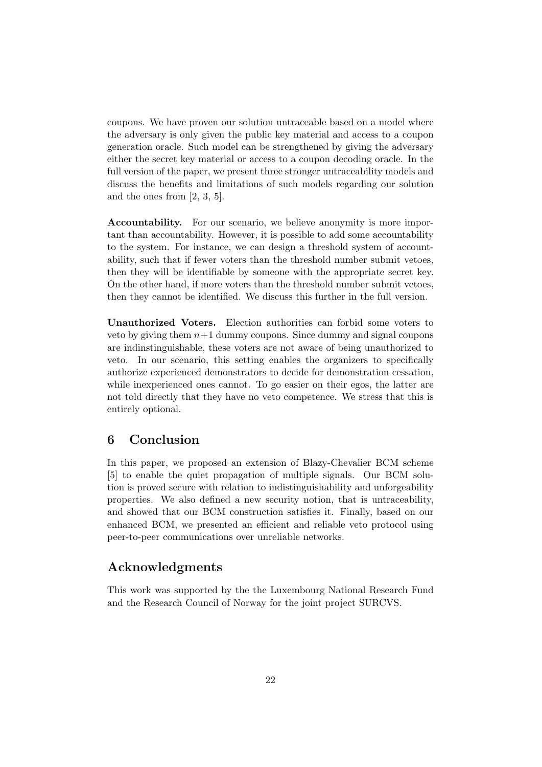coupons. We have proven our solution untraceable based on a model where the adversary is only given the public key material and access to a coupon generation oracle. Such model can be strengthened by giving the adversary either the secret key material or access to a coupon decoding oracle. In the full version of the paper, we present three stronger untraceability models and discuss the benefits and limitations of such models regarding our solution and the ones from [2, 3, 5].

Accountability. For our scenario, we believe anonymity is more important than accountability. However, it is possible to add some accountability to the system. For instance, we can design a threshold system of accountability, such that if fewer voters than the threshold number submit vetoes, then they will be identifiable by someone with the appropriate secret key. On the other hand, if more voters than the threshold number submit vetoes, then they cannot be identified. We discuss this further in the full version.

Unauthorized Voters. Election authorities can forbid some voters to veto by giving them  $n+1$  dummy coupons. Since dummy and signal coupons are indinstinguishable, these voters are not aware of being unauthorized to veto. In our scenario, this setting enables the organizers to specifically authorize experienced demonstrators to decide for demonstration cessation, while inexperienced ones cannot. To go easier on their egos, the latter are not told directly that they have no veto competence. We stress that this is entirely optional.

# 6 Conclusion

In this paper, we proposed an extension of Blazy-Chevalier BCM scheme [5] to enable the quiet propagation of multiple signals. Our BCM solution is proved secure with relation to indistinguishability and unforgeability properties. We also defined a new security notion, that is untraceability, and showed that our BCM construction satisfies it. Finally, based on our enhanced BCM, we presented an efficient and reliable veto protocol using peer-to-peer communications over unreliable networks.

# Acknowledgments

This work was supported by the the Luxembourg National Research Fund and the Research Council of Norway for the joint project SURCVS.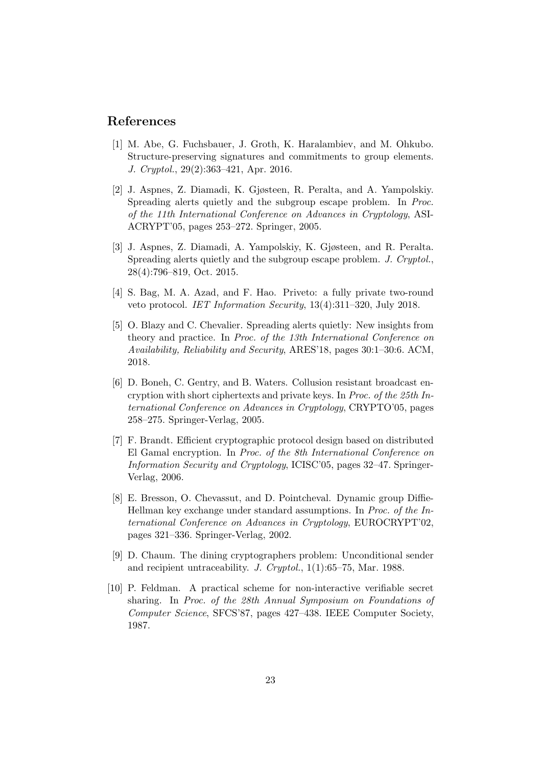# References

- [1] M. Abe, G. Fuchsbauer, J. Groth, K. Haralambiev, and M. Ohkubo. Structure-preserving signatures and commitments to group elements. J. Cryptol., 29(2):363–421, Apr. 2016.
- [2] J. Aspnes, Z. Diamadi, K. Gjøsteen, R. Peralta, and A. Yampolskiy. Spreading alerts quietly and the subgroup escape problem. In Proc. of the 11th International Conference on Advances in Cryptology, ASI-ACRYPT'05, pages 253–272. Springer, 2005.
- [3] J. Aspnes, Z. Diamadi, A. Yampolskiy, K. Gjøsteen, and R. Peralta. Spreading alerts quietly and the subgroup escape problem. J. Cryptol., 28(4):796–819, Oct. 2015.
- [4] S. Bag, M. A. Azad, and F. Hao. Priveto: a fully private two-round veto protocol. IET Information Security, 13(4):311–320, July 2018.
- [5] O. Blazy and C. Chevalier. Spreading alerts quietly: New insights from theory and practice. In Proc. of the 13th International Conference on Availability, Reliability and Security, ARES'18, pages 30:1–30:6. ACM, 2018.
- [6] D. Boneh, C. Gentry, and B. Waters. Collusion resistant broadcast encryption with short ciphertexts and private keys. In Proc. of the 25th International Conference on Advances in Cryptology, CRYPTO'05, pages 258–275. Springer-Verlag, 2005.
- [7] F. Brandt. Efficient cryptographic protocol design based on distributed El Gamal encryption. In Proc. of the 8th International Conference on Information Security and Cryptology, ICISC'05, pages 32–47. Springer-Verlag, 2006.
- [8] E. Bresson, O. Chevassut, and D. Pointcheval. Dynamic group Diffie-Hellman key exchange under standard assumptions. In Proc. of the International Conference on Advances in Cryptology, EUROCRYPT'02, pages 321–336. Springer-Verlag, 2002.
- [9] D. Chaum. The dining cryptographers problem: Unconditional sender and recipient untraceability. J. Cryptol., 1(1):65–75, Mar. 1988.
- [10] P. Feldman. A practical scheme for non-interactive verifiable secret sharing. In Proc. of the 28th Annual Symposium on Foundations of Computer Science, SFCS'87, pages 427–438. IEEE Computer Society, 1987.